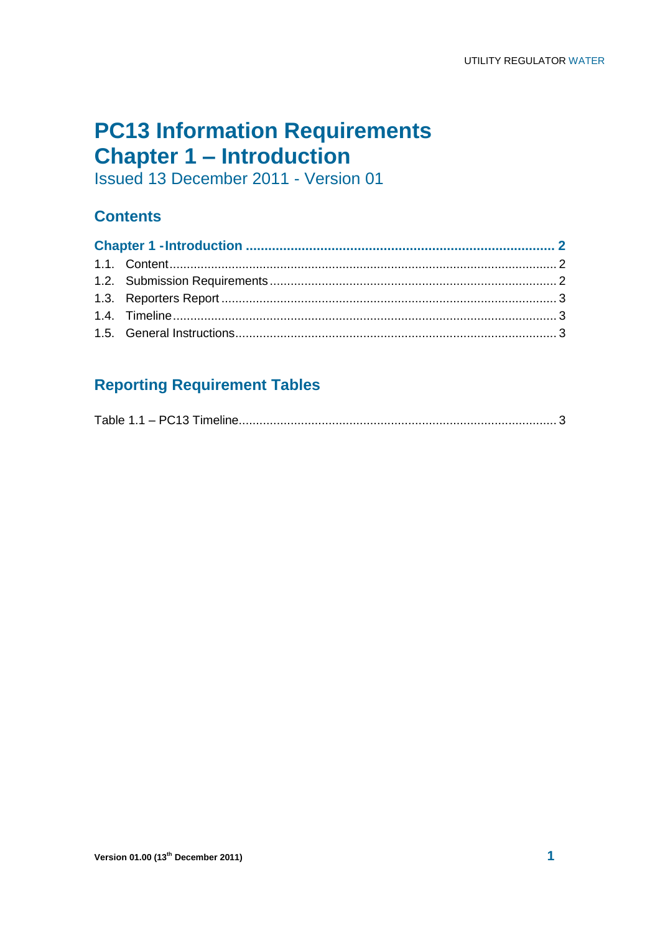## **PC13 Information Requirements Chapter 1 – Introduction**

Issued 13 December 2011 - Version 01

#### **Contents**

### **Reporting Requirement Tables**

|--|--|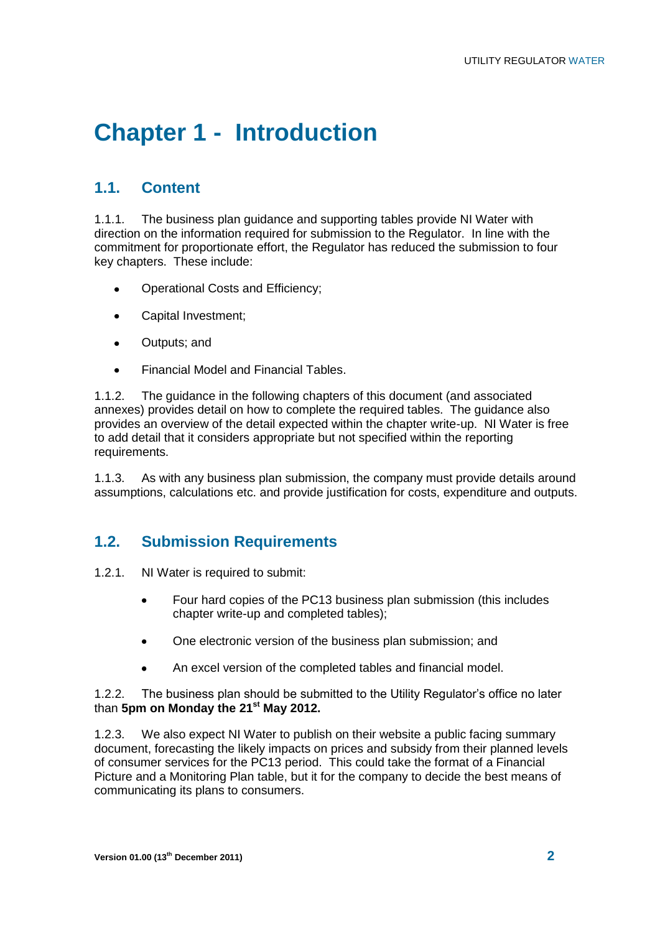# **Chapter 1 - Introduction**

#### **1.1. Content**

1.1.1. The business plan guidance and supporting tables provide NI Water with direction on the information required for submission to the Regulator. In line with the commitment for proportionate effort, the Regulator has reduced the submission to four key chapters. These include:

- Operational Costs and Efficiency;
- Capital Investment;  $\bullet$
- $\bullet$ Outputs; and
- Financial Model and Financial Tables.  $\bullet$

1.1.2. The guidance in the following chapters of this document (and associated annexes) provides detail on how to complete the required tables. The guidance also provides an overview of the detail expected within the chapter write-up. NI Water is free to add detail that it considers appropriate but not specified within the reporting requirements.

1.1.3. As with any business plan submission, the company must provide details around assumptions, calculations etc. and provide justification for costs, expenditure and outputs.

#### **1.2. Submission Requirements**

- 1.2.1. NI Water is required to submit:
	- Four hard copies of the PC13 business plan submission (this includes chapter write-up and completed tables);
	- One electronic version of the business plan submission; and  $\bullet$
	- An excel version of the completed tables and financial model.

1.2.2. The business plan should be submitted to the Utility Regulator's office no later than **5pm on Monday the 21st May 2012.**

1.2.3. We also expect NI Water to publish on their website a public facing summary document, forecasting the likely impacts on prices and subsidy from their planned levels of consumer services for the PC13 period. This could take the format of a Financial Picture and a Monitoring Plan table, but it for the company to decide the best means of communicating its plans to consumers.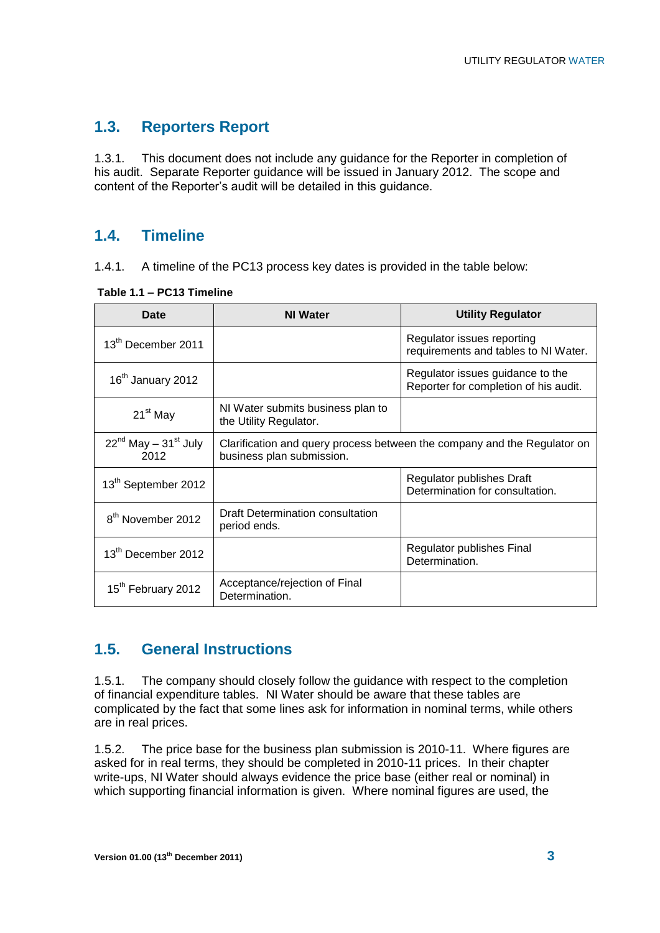#### **1.3. Reporters Report**

1.3.1. This document does not include any guidance for the Reporter in completion of his audit. Separate Reporter guidance will be issued in January 2012. The scope and content of the Reporter's audit will be detailed in this guidance.

#### **1.4. Timeline**

1.4.1. A timeline of the PC13 process key dates is provided in the table below:

| Date                                   | <b>NI Water</b>                                                                                       | <b>Utility Regulator</b>                                                  |  |
|----------------------------------------|-------------------------------------------------------------------------------------------------------|---------------------------------------------------------------------------|--|
| 13 <sup>th</sup> December 2011         |                                                                                                       | Regulator issues reporting<br>requirements and tables to NI Water.        |  |
| 16 <sup>th</sup> January 2012          |                                                                                                       | Regulator issues guidance to the<br>Reporter for completion of his audit. |  |
| 21 <sup>st</sup> May                   | NI Water submits business plan to<br>the Utility Regulator.                                           |                                                                           |  |
| $22^{nd}$ May - $31^{st}$ July<br>2012 | Clarification and query process between the company and the Regulator on<br>business plan submission. |                                                                           |  |
| 13 <sup>th</sup> September 2012        |                                                                                                       | Regulator publishes Draft<br>Determination for consultation.              |  |
| 8 <sup>th</sup> November 2012          | Draft Determination consultation<br>period ends.                                                      |                                                                           |  |
| 13 <sup>th</sup> December 2012         |                                                                                                       | Regulator publishes Final<br>Determination.                               |  |
| 15 <sup>th</sup> February 2012         | Acceptance/rejection of Final<br>Determination.                                                       |                                                                           |  |

**Table 1.1 – PC13 Timeline** 

#### **1.5. General Instructions**

1.5.1. The company should closely follow the guidance with respect to the completion of financial expenditure tables. NI Water should be aware that these tables are complicated by the fact that some lines ask for information in nominal terms, while others are in real prices.

1.5.2. The price base for the business plan submission is 2010-11. Where figures are asked for in real terms, they should be completed in 2010-11 prices. In their chapter write-ups, NI Water should always evidence the price base (either real or nominal) in which supporting financial information is given. Where nominal figures are used, the